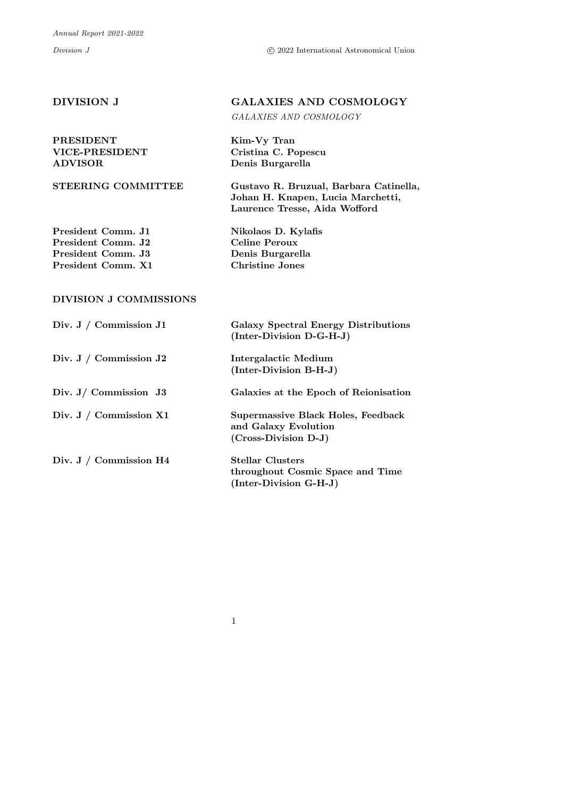#### PRESIDENT Kim-Vy Tran VICE-PRESIDENT Cristina C. Popescu ADVISOR Denis Burgarella

STEERING COMMITTEE Gustavo R. Bruzual, Barbara Catinella,

President Comm. J1 Nikolaos D. Kylafis President Comm. J2 Celine Peroux<br>President Comm. J3 Denis Burgarella President Comm. J3 President Comm. X1 Christine Jones

## DIVISION J COMMISSIONS

| Div. J / Commission J1    | <b>Galaxy Spectral Energy Distributions</b><br>(Inter-Division D-G-H-J)               |
|---------------------------|---------------------------------------------------------------------------------------|
| Div. J / Commission $J2$  | Intergalactic Medium<br>(Inter-Division B-H-J)                                        |
| Div. $J/$ Commission $J3$ | Galaxies at the Epoch of Reionisation                                                 |
| Div. J / Commission $X1$  | Supermassive Black Holes, Feedback<br>and Galaxy Evolution<br>$(Cross-Division D-J)$  |
| Div. J / Commission H4    | <b>Stellar Clusters</b><br>throughout Cosmic Space and Time<br>(Inter-Division G-H-J) |

1

# DIVISION J GALAXIES AND COSMOLOGY

Johan H. Knapen, Lucia Marchetti, Laurence Tresse, Aida Wofford

GALAXIES AND COSMOLOGY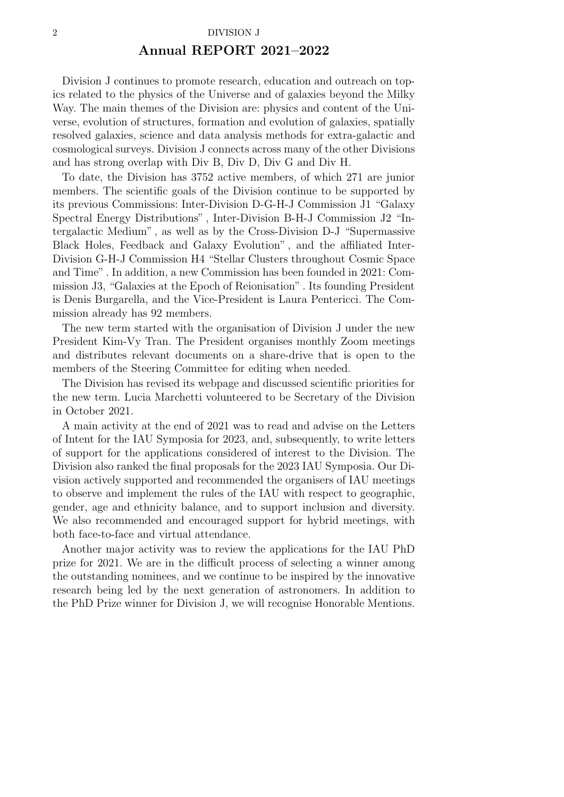## Annual REPORT 2021–2022

Division J continues to promote research, education and outreach on topics related to the physics of the Universe and of galaxies beyond the Milky Way. The main themes of the Division are: physics and content of the Universe, evolution of structures, formation and evolution of galaxies, spatially resolved galaxies, science and data analysis methods for extra-galactic and cosmological surveys. Division J connects across many of the other Divisions and has strong overlap with Div B, Div D, Div G and Div H.

To date, the Division has 3752 active members, of which 271 are junior members. The scientific goals of the Division continue to be supported by its previous Commissions: Inter-Division D-G-H-J Commission J1 "Galaxy Spectral Energy Distributions" , Inter-Division B-H-J Commission J2 "Intergalactic Medium" , as well as by the Cross-Division D-J "Supermassive Black Holes, Feedback and Galaxy Evolution" , and the affiliated Inter-Division G-H-J Commission H4 "Stellar Clusters throughout Cosmic Space and Time" . In addition, a new Commission has been founded in 2021: Commission J3, "Galaxies at the Epoch of Reionisation" . Its founding President is Denis Burgarella, and the Vice-President is Laura Pentericci. The Commission already has 92 members.

The new term started with the organisation of Division J under the new President Kim-Vy Tran. The President organises monthly Zoom meetings and distributes relevant documents on a share-drive that is open to the members of the Steering Committee for editing when needed.

The Division has revised its webpage and discussed scientific priorities for the new term. Lucia Marchetti volunteered to be Secretary of the Division in October 2021.

A main activity at the end of 2021 was to read and advise on the Letters of Intent for the IAU Symposia for 2023, and, subsequently, to write letters of support for the applications considered of interest to the Division. The Division also ranked the final proposals for the 2023 IAU Symposia. Our Division actively supported and recommended the organisers of IAU meetings to observe and implement the rules of the IAU with respect to geographic, gender, age and ethnicity balance, and to support inclusion and diversity. We also recommended and encouraged support for hybrid meetings, with both face-to-face and virtual attendance.

Another major activity was to review the applications for the IAU PhD prize for 2021. We are in the difficult process of selecting a winner among the outstanding nominees, and we continue to be inspired by the innovative research being led by the next generation of astronomers. In addition to the PhD Prize winner for Division J, we will recognise Honorable Mentions.